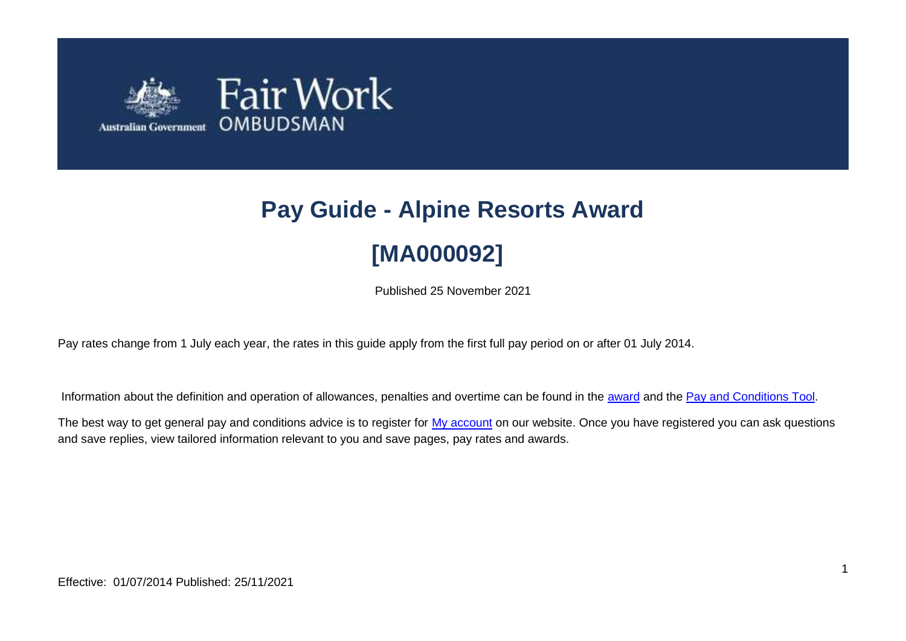

# **Pay Guide - Alpine Resorts Award [MA000092]**

Published 25 November 2021

Pay rates change from 1 July each year, the rates in this guide apply from the first full pay period on or after 01 July 2014.

Information about the definition and operation of allowances, penalties and overtime can be found in the [award](https://www.fairwork.gov.au/awards-and-agreements/awards/list-of-awards) and the [Pay and Conditions Tool.](https://calculate.fairwork.gov.au/)

The best way to get general pay and conditions advice is to register for [My account](https://www.fairwork.gov.au/my-account/registerpage.aspx) on our website. Once you have registered you can ask questions and save replies, view tailored information relevant to you and save pages, pay rates and awards.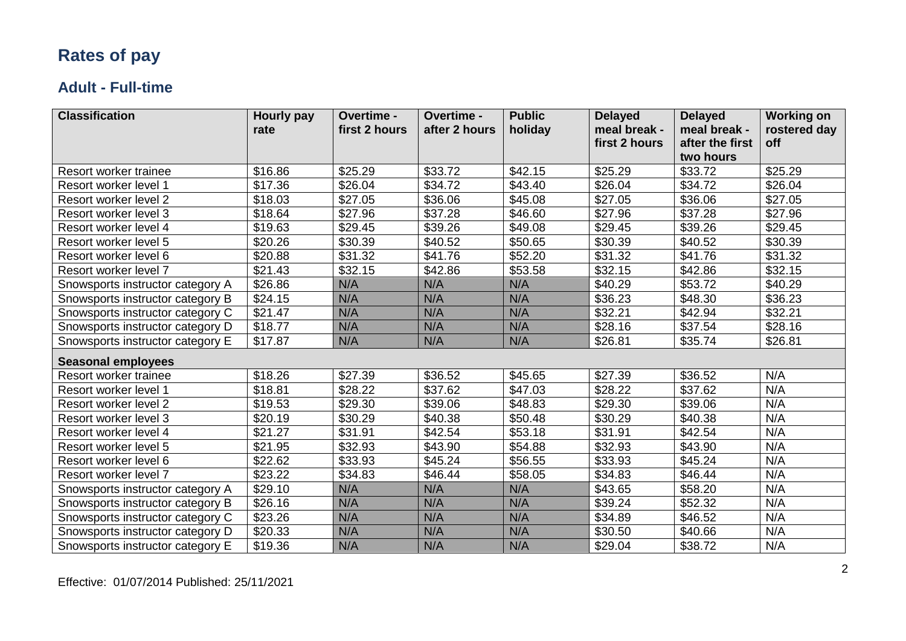## **Rates of pay**

#### **Adult - Full-time**

| <b>Classification</b>            | <b>Hourly pay</b> | Overtime -    | Overtime -    | <b>Public</b> | <b>Delayed</b> | <b>Delayed</b>  | <b>Working on</b> |
|----------------------------------|-------------------|---------------|---------------|---------------|----------------|-----------------|-------------------|
|                                  | rate              | first 2 hours | after 2 hours | holiday       | meal break -   | meal break -    | rostered day      |
|                                  |                   |               |               |               | first 2 hours  | after the first | off               |
|                                  |                   |               |               |               |                | two hours       |                   |
| Resort worker trainee            | \$16.86           | \$25.29       | \$33.72       | \$42.15       | \$25.29        | \$33.72         | \$25.29           |
| Resort worker level 1            | \$17.36           | \$26.04       | \$34.72       | \$43.40       | \$26.04        | \$34.72         | \$26.04           |
| Resort worker level 2            | \$18.03           | \$27.05       | \$36.06       | \$45.08       | \$27.05        | \$36.06         | \$27.05           |
| Resort worker level 3            | \$18.64           | \$27.96       | \$37.28       | \$46.60       | \$27.96        | \$37.28         | \$27.96           |
| Resort worker level 4            | \$19.63           | \$29.45       | \$39.26       | \$49.08       | \$29.45        | \$39.26         | \$29.45           |
| Resort worker level 5            | \$20.26           | \$30.39       | \$40.52       | \$50.65       | \$30.39        | \$40.52         | \$30.39           |
| Resort worker level 6            | \$20.88           | \$31.32       | \$41.76       | \$52.20       | \$31.32        | \$41.76         | \$31.32           |
| Resort worker level 7            | \$21.43           | \$32.15       | \$42.86       | \$53.58       | \$32.15        | \$42.86         | \$32.15           |
| Snowsports instructor category A | \$26.86           | N/A           | N/A           | N/A           | \$40.29        | \$53.72         | \$40.29           |
| Snowsports instructor category B | \$24.15           | N/A           | N/A           | N/A           | \$36.23        | \$48.30         | \$36.23           |
| Snowsports instructor category C | \$21.47           | N/A           | N/A           | N/A           | \$32.21        | \$42.94         | \$32.21           |
| Snowsports instructor category D | \$18.77           | N/A           | N/A           | N/A           | \$28.16        | \$37.54         | \$28.16           |
| Snowsports instructor category E | \$17.87           | N/A           | N/A           | N/A           | \$26.81        | \$35.74         | \$26.81           |
| <b>Seasonal employees</b>        |                   |               |               |               |                |                 |                   |
| Resort worker trainee            | \$18.26           | \$27.39       | \$36.52       | \$45.65       | \$27.39        | \$36.52         | N/A               |
| Resort worker level 1            | \$18.81           | \$28.22       | \$37.62       | \$47.03       | \$28.22        | \$37.62         | N/A               |
| Resort worker level 2            | \$19.53           | \$29.30       | \$39.06       | \$48.83       | \$29.30        | \$39.06         | N/A               |
| Resort worker level 3            | \$20.19           | \$30.29       | \$40.38       | \$50.48       | \$30.29        | \$40.38         | N/A               |
| Resort worker level 4            | \$21.27           | \$31.91       | \$42.54       | \$53.18       | \$31.91        | \$42.54         | N/A               |
| Resort worker level 5            | \$21.95           | \$32.93       | \$43.90       | \$54.88       | \$32.93        | \$43.90         | N/A               |
| Resort worker level 6            | \$22.62           | \$33.93       | \$45.24       | \$56.55       | \$33.93        | \$45.24         | N/A               |
| Resort worker level 7            | \$23.22           | \$34.83       | \$46.44       | \$58.05       | \$34.83        | \$46.44         | N/A               |
| Snowsports instructor category A | \$29.10           | N/A           | N/A           | N/A           | \$43.65        | \$58.20         | N/A               |
| Snowsports instructor category B | \$26.16           | N/A           | N/A           | N/A           | \$39.24        | \$52.32         | N/A               |
| Snowsports instructor category C | \$23.26           | N/A           | N/A           | N/A           | \$34.89        | \$46.52         | N/A               |
| Snowsports instructor category D | \$20.33           | N/A           | N/A           | N/A           | \$30.50        | \$40.66         | N/A               |
| Snowsports instructor category E | \$19.36           | N/A           | N/A           | N/A           | \$29.04        | \$38.72         | N/A               |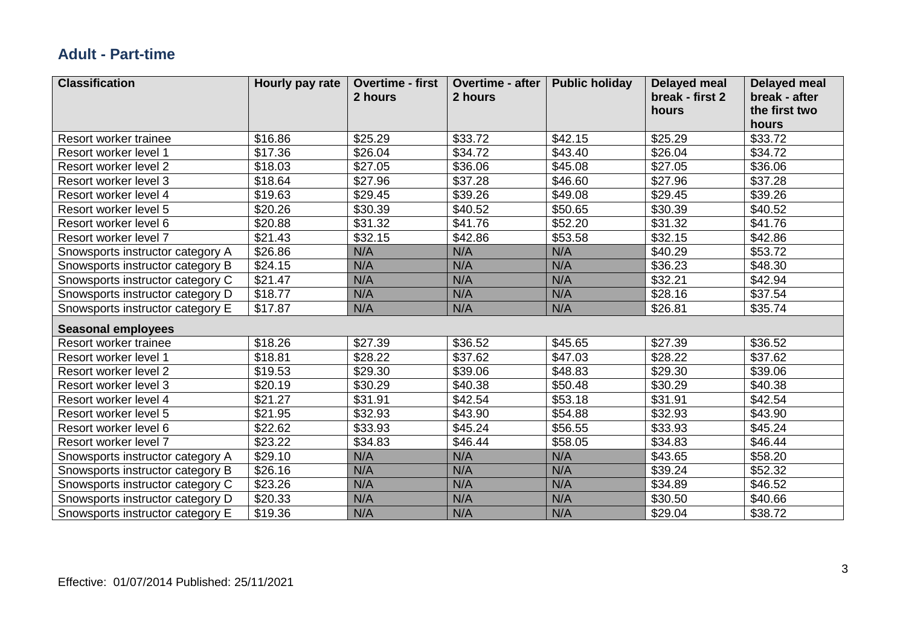#### **Adult - Part-time**

| <b>Classification</b>            | Hourly pay rate | <b>Overtime - first</b><br>2 hours | <b>Overtime - after</b><br>2 hours | <b>Public holiday</b> | <b>Delayed meal</b><br>break - first 2 | <b>Delayed meal</b><br>break - after |
|----------------------------------|-----------------|------------------------------------|------------------------------------|-----------------------|----------------------------------------|--------------------------------------|
|                                  |                 |                                    |                                    |                       | hours                                  | the first two                        |
|                                  |                 |                                    |                                    |                       |                                        | hours                                |
| Resort worker trainee            | \$16.86         | \$25.29                            | \$33.72                            | \$42.15               | \$25.29                                | \$33.72                              |
| Resort worker level 1            | \$17.36         | \$26.04                            | \$34.72                            | \$43.40               | \$26.04                                | \$34.72                              |
| Resort worker level 2            | \$18.03         | \$27.05                            | \$36.06                            | \$45.08               | \$27.05                                | \$36.06                              |
| Resort worker level 3            | \$18.64         | \$27.96                            | \$37.28                            | \$46.60               | \$27.96                                | \$37.28                              |
| Resort worker level 4            | \$19.63         | \$29.45                            | \$39.26                            | \$49.08               | \$29.45                                | \$39.26                              |
| Resort worker level 5            | \$20.26         | \$30.39                            | \$40.52                            | \$50.65               | \$30.39                                | \$40.52                              |
| Resort worker level 6            | \$20.88         | \$31.32                            | \$41.76                            | \$52.20               | \$31.32                                | \$41.76                              |
| Resort worker level 7            | \$21.43         | \$32.15                            | \$42.86                            | \$53.58               | \$32.15                                | \$42.86                              |
| Snowsports instructor category A | \$26.86         | N/A                                | N/A                                | N/A                   | \$40.29                                | \$53.72                              |
| Snowsports instructor category B | \$24.15         | N/A                                | N/A                                | N/A                   | \$36.23                                | \$48.30                              |
| Snowsports instructor category C | \$21.47         | N/A                                | N/A                                | N/A                   | \$32.21                                | \$42.94                              |
| Snowsports instructor category D | \$18.77         | N/A                                | N/A                                | N/A                   | $\overline{$}28.16$                    | \$37.54                              |
| Snowsports instructor category E | \$17.87         | N/A                                | N/A                                | N/A                   | \$26.81                                | \$35.74                              |
| <b>Seasonal employees</b>        |                 |                                    |                                    |                       |                                        |                                      |
| Resort worker trainee            | \$18.26         | \$27.39                            | \$36.52                            | \$45.65               | \$27.39                                | \$36.52                              |
| Resort worker level 1            | \$18.81         | \$28.22                            | \$37.62                            | \$47.03               | \$28.22                                | \$37.62                              |
| Resort worker level 2            | \$19.53         | \$29.30                            | \$39.06                            | \$48.83               | \$29.30                                | \$39.06                              |
| Resort worker level 3            | \$20.19         | \$30.29                            | \$40.38                            | \$50.48               | \$30.29                                | \$40.38                              |
| Resort worker level 4            | \$21.27         | \$31.91                            | \$42.54                            | \$53.18               | \$31.91                                | \$42.54                              |
| Resort worker level 5            | \$21.95         | \$32.93                            | \$43.90                            | \$54.88               | \$32.93                                | \$43.90                              |
| Resort worker level 6            | \$22.62         | \$33.93                            | \$45.24                            | \$56.55               | \$33.93                                | \$45.24                              |
| Resort worker level 7            | \$23.22         | \$34.83                            | \$46.44                            | \$58.05               | \$34.83                                | \$46.44                              |
| Snowsports instructor category A | \$29.10         | N/A                                | N/A                                | N/A                   | \$43.65                                | \$58.20                              |
| Snowsports instructor category B | \$26.16         | N/A                                | N/A                                | N/A                   | \$39.24                                | \$52.32                              |
| Snowsports instructor category C | \$23.26         | N/A                                | N/A                                | N/A                   | \$34.89                                | \$46.52                              |
| Snowsports instructor category D | \$20.33         | N/A                                | N/A                                | N/A                   | \$30.50                                | \$40.66                              |
| Snowsports instructor category E | \$19.36         | N/A                                | N/A                                | N/A                   | \$29.04                                | \$38.72                              |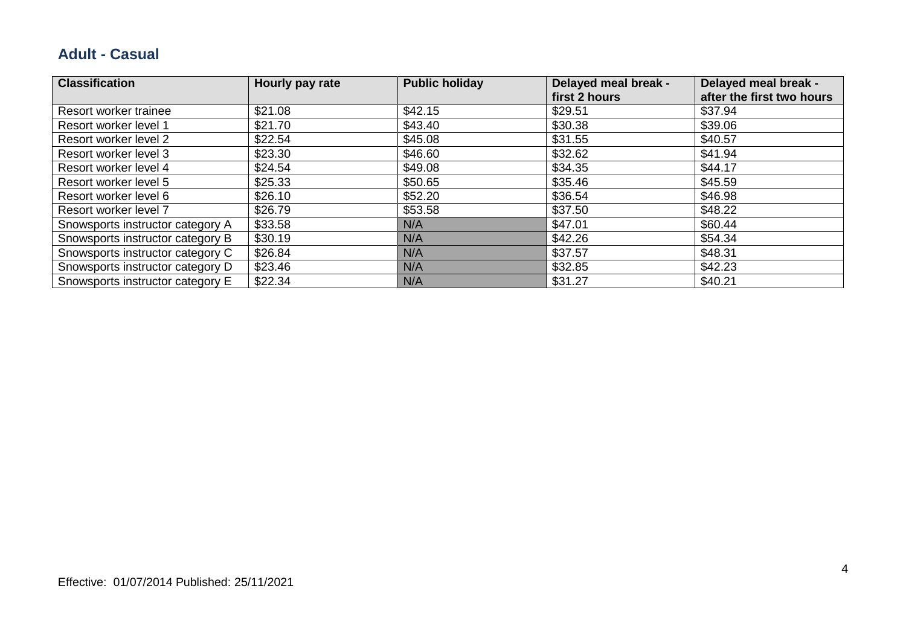#### **Adult - Casual**

| <b>Classification</b>            | Hourly pay rate | <b>Public holiday</b> | Delayed meal break -<br>first 2 hours | Delayed meal break -<br>after the first two hours |
|----------------------------------|-----------------|-----------------------|---------------------------------------|---------------------------------------------------|
| Resort worker trainee            | \$21.08         | \$42.15               | \$29.51                               | \$37.94                                           |
| Resort worker level 1            | \$21.70         | \$43.40               | \$30.38                               | \$39.06                                           |
| Resort worker level 2            | \$22.54         | \$45.08               | \$31.55                               | \$40.57                                           |
| Resort worker level 3            | \$23.30         | \$46.60               | \$32.62                               | \$41.94                                           |
| Resort worker level 4            | \$24.54         | \$49.08               | \$34.35                               | \$44.17                                           |
| Resort worker level 5            | \$25.33         | \$50.65               | \$35.46                               | \$45.59                                           |
| Resort worker level 6            | \$26.10         | \$52.20               | \$36.54                               | \$46.98                                           |
| Resort worker level 7            | \$26.79         | \$53.58               | \$37.50                               | \$48.22                                           |
| Snowsports instructor category A | \$33.58         | N/A                   | \$47.01                               | \$60.44                                           |
| Snowsports instructor category B | \$30.19         | N/A                   | \$42.26                               | \$54.34                                           |
| Snowsports instructor category C | \$26.84         | N/A                   | \$37.57                               | \$48.31                                           |
| Snowsports instructor category D | \$23.46         | N/A                   | \$32.85                               | \$42.23                                           |
| Snowsports instructor category E | \$22.34         | N/A                   | \$31.27                               | \$40.21                                           |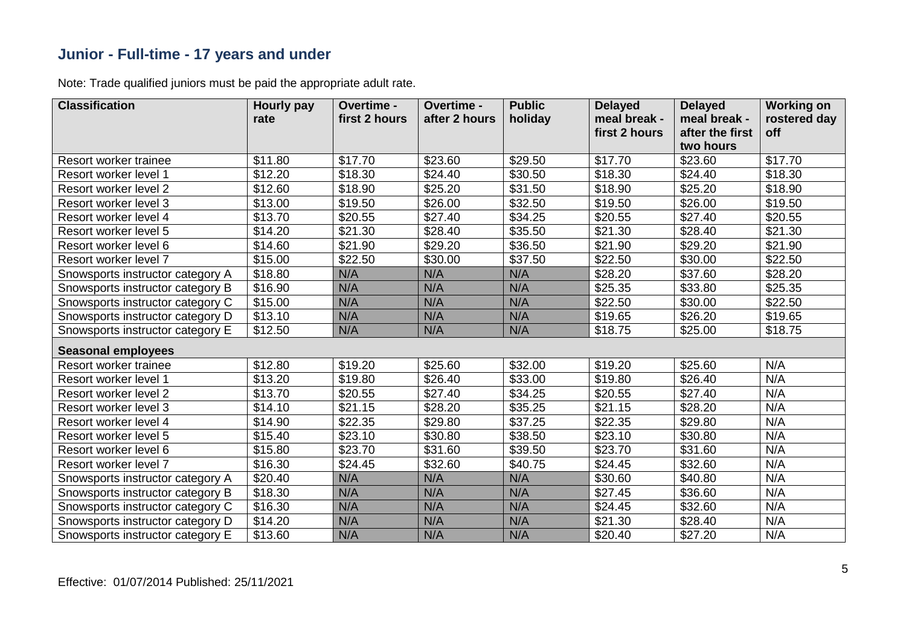#### **Junior - Full-time - 17 years and under**

| <b>Classification</b>            | <b>Hourly pay</b><br>rate | Overtime -<br>first 2 hours | Overtime -<br>after 2 hours | <b>Public</b><br>holiday | <b>Delayed</b><br>meal break - | <b>Delayed</b><br>meal break - | <b>Working on</b><br>rostered day |
|----------------------------------|---------------------------|-----------------------------|-----------------------------|--------------------------|--------------------------------|--------------------------------|-----------------------------------|
|                                  |                           |                             |                             |                          | first 2 hours                  | after the first                | off                               |
|                                  |                           |                             |                             |                          |                                | two hours                      |                                   |
| Resort worker trainee            | \$11.80                   | \$17.70                     | \$23.60                     | \$29.50                  | \$17.70                        | \$23.60                        | \$17.70                           |
| Resort worker level 1            | \$12.20                   | \$18.30                     | \$24.40                     | \$30.50                  | \$18.30                        | \$24.40                        | \$18.30                           |
| Resort worker level 2            | \$12.60                   | \$18.90                     | \$25.20                     | \$31.50                  | \$18.90                        | \$25.20                        | \$18.90                           |
| Resort worker level 3            | \$13.00                   | \$19.50                     | \$26.00                     | \$32.50                  | \$19.50                        | \$26.00                        | \$19.50                           |
| Resort worker level 4            | \$13.70                   | \$20.55                     | \$27.40                     | \$34.25                  | \$20.55                        | \$27.40                        | \$20.55                           |
| Resort worker level 5            | \$14.20                   | \$21.30                     | \$28.40                     | \$35.50                  | \$21.30                        | \$28.40                        | \$21.30                           |
| Resort worker level 6            | \$14.60                   | \$21.90                     | \$29.20                     | \$36.50                  | \$21.90                        | \$29.20                        | \$21.90                           |
| Resort worker level 7            | \$15.00                   | \$22.50                     | \$30.00                     | \$37.50                  | \$22.50                        | \$30.00                        | \$22.50                           |
| Snowsports instructor category A | \$18.80                   | N/A                         | N/A                         | N/A                      | \$28.20                        | \$37.60                        | \$28.20                           |
| Snowsports instructor category B | \$16.90                   | N/A                         | N/A                         | N/A                      | \$25.35                        | \$33.80                        | \$25.35                           |
| Snowsports instructor category C | \$15.00                   | N/A                         | N/A                         | N/A                      | \$22.50                        | \$30.00                        | \$22.50                           |
| Snowsports instructor category D | \$13.10                   | N/A                         | N/A                         | N/A                      | \$19.65                        | \$26.20                        | \$19.65                           |
| Snowsports instructor category E | \$12.50                   | N/A                         | N/A                         | N/A                      | \$18.75                        | \$25.00                        | \$18.75                           |
| <b>Seasonal employees</b>        |                           |                             |                             |                          |                                |                                |                                   |
| Resort worker trainee            | \$12.80                   | \$19.20                     | \$25.60                     | \$32.00                  | \$19.20                        | \$25.60                        | N/A                               |
| Resort worker level 1            | \$13.20                   | \$19.80                     | \$26.40                     | \$33.00                  | \$19.80                        | \$26.40                        | N/A                               |
| Resort worker level 2            | \$13.70                   | \$20.55                     | \$27.40                     | \$34.25                  | \$20.55                        | \$27.40                        | N/A                               |
| Resort worker level 3            | \$14.10                   | \$21.15                     | \$28.20                     | \$35.25                  | \$21.15                        | \$28.20                        | N/A                               |
| Resort worker level 4            | \$14.90                   | \$22.35                     | \$29.80                     | \$37.25                  | \$22.35                        | \$29.80                        | N/A                               |
| Resort worker level 5            | \$15.40                   | \$23.10                     | \$30.80                     | \$38.50                  | \$23.10                        | \$30.80                        | N/A                               |
| Resort worker level 6            | \$15.80                   | \$23.70                     | \$31.60                     | \$39.50                  | \$23.70                        | \$31.60                        | N/A                               |
| Resort worker level 7            | \$16.30                   | \$24.45                     | \$32.60                     | \$40.75                  | \$24.45                        | \$32.60                        | N/A                               |
| Snowsports instructor category A | \$20.40                   | N/A                         | N/A                         | N/A                      | \$30.60                        | \$40.80                        | N/A                               |
| Snowsports instructor category B | \$18.30                   | N/A                         | N/A                         | N/A                      | \$27.45                        | \$36.60                        | N/A                               |
| Snowsports instructor category C | \$16.30                   | N/A                         | N/A                         | N/A                      | \$24.45                        | \$32.60                        | N/A                               |
| Snowsports instructor category D | \$14.20                   | N/A                         | N/A                         | N/A                      | \$21.30                        | \$28.40                        | N/A                               |
| Snowsports instructor category E | \$13.60                   | N/A                         | N/A                         | N/A                      | \$20.40                        | \$27.20                        | N/A                               |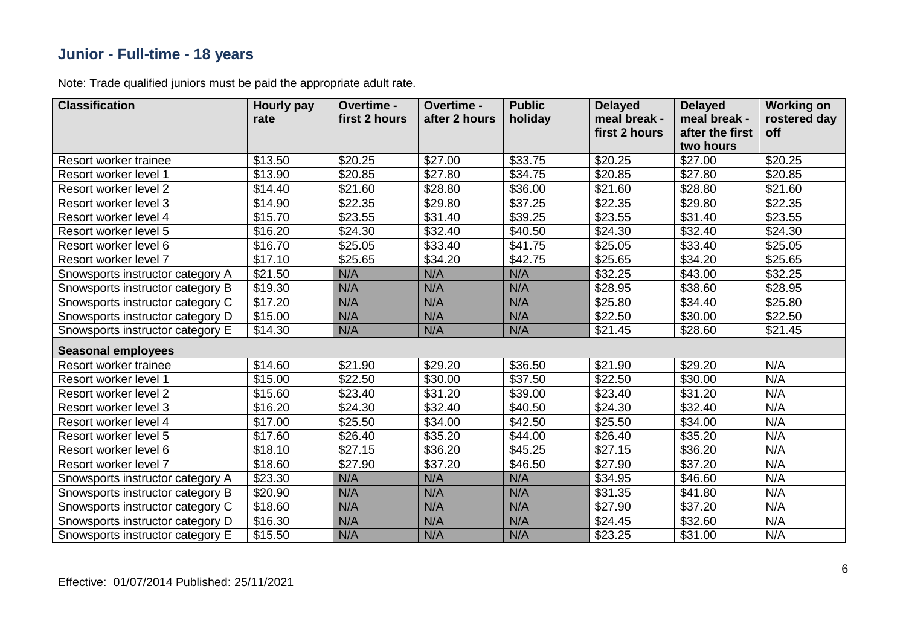#### **Junior - Full-time - 18 years**

| <b>Classification</b>            | <b>Hourly pay</b><br>rate | Overtime -<br>first 2 hours | Overtime -<br>after 2 hours | <b>Public</b><br>holiday | <b>Delayed</b><br>meal break -<br>first 2 hours | <b>Delayed</b><br>meal break -<br>after the first | <b>Working on</b><br>rostered day<br>off |
|----------------------------------|---------------------------|-----------------------------|-----------------------------|--------------------------|-------------------------------------------------|---------------------------------------------------|------------------------------------------|
|                                  |                           |                             |                             |                          |                                                 | two hours                                         |                                          |
| Resort worker trainee            | \$13.50                   | \$20.25                     | \$27.00                     | \$33.75                  | \$20.25                                         | \$27.00                                           | \$20.25                                  |
| Resort worker level 1            | \$13.90                   | \$20.85                     | \$27.80                     | \$34.75                  | \$20.85                                         | \$27.80                                           | \$20.85                                  |
| Resort worker level 2            | \$14.40                   | \$21.60                     | \$28.80                     | \$36.00                  | \$21.60                                         | \$28.80                                           | \$21.60                                  |
| Resort worker level 3            | \$14.90                   | \$22.35                     | \$29.80                     | \$37.25                  | \$22.35                                         | \$29.80                                           | \$22.35                                  |
| Resort worker level 4            | \$15.70                   | \$23.55                     | \$31.40                     | \$39.25                  | \$23.55                                         | \$31.40                                           | \$23.55                                  |
| Resort worker level 5            | \$16.20                   | \$24.30                     | \$32.40                     | \$40.50                  | \$24.30                                         | \$32.40                                           | \$24.30                                  |
| Resort worker level 6            | \$16.70                   | \$25.05                     | \$33.40                     | \$41.75                  | \$25.05                                         | \$33.40                                           | \$25.05                                  |
| Resort worker level 7            | \$17.10                   | \$25.65                     | \$34.20                     | \$42.75                  | \$25.65                                         | \$34.20                                           | \$25.65                                  |
| Snowsports instructor category A | \$21.50                   | N/A                         | N/A                         | N/A                      | \$32.25                                         | \$43.00                                           | \$32.25                                  |
| Snowsports instructor category B | \$19.30                   | N/A                         | N/A                         | N/A                      | \$28.95                                         | \$38.60                                           | \$28.95                                  |
| Snowsports instructor category C | \$17.20                   | N/A                         | N/A                         | N/A                      | \$25.80                                         | \$34.40                                           | \$25.80                                  |
| Snowsports instructor category D | \$15.00                   | N/A                         | N/A                         | N/A                      | \$22.50                                         | \$30.00                                           | \$22.50                                  |
| Snowsports instructor category E | \$14.30                   | N/A                         | N/A                         | N/A                      | \$21.45                                         | \$28.60                                           | \$21.45                                  |
| <b>Seasonal employees</b>        |                           |                             |                             |                          |                                                 |                                                   |                                          |
| Resort worker trainee            | \$14.60                   | \$21.90                     | \$29.20                     | \$36.50                  | \$21.90                                         | \$29.20                                           | N/A                                      |
| Resort worker level 1            | \$15.00                   | \$22.50                     | \$30.00                     | \$37.50                  | \$22.50                                         | \$30.00                                           | N/A                                      |
| Resort worker level 2            | \$15.60                   | \$23.40                     | \$31.20                     | \$39.00                  | \$23.40                                         | \$31.20                                           | N/A                                      |
| Resort worker level 3            | \$16.20                   | \$24.30                     | \$32.40                     | \$40.50                  | \$24.30                                         | \$32.40                                           | N/A                                      |
| Resort worker level 4            | \$17.00                   | \$25.50                     | \$34.00                     | \$42.50                  | \$25.50                                         | \$34.00                                           | N/A                                      |
| Resort worker level 5            | \$17.60                   | \$26.40                     | \$35.20                     | \$44.00                  | \$26.40                                         | \$35.20                                           | N/A                                      |
| Resort worker level 6            | \$18.10                   | \$27.15                     | \$36.20                     | \$45.25                  | \$27.15                                         | \$36.20                                           | N/A                                      |
| Resort worker level 7            | \$18.60                   | \$27.90                     | \$37.20                     | \$46.50                  | \$27.90                                         | \$37.20                                           | N/A                                      |
| Snowsports instructor category A | \$23.30                   | N/A                         | N/A                         | N/A                      | \$34.95                                         | \$46.60                                           | N/A                                      |
| Snowsports instructor category B | \$20.90                   | N/A                         | N/A                         | N/A                      | \$31.35                                         | \$41.80                                           | N/A                                      |
| Snowsports instructor category C | \$18.60                   | N/A                         | N/A                         | N/A                      | \$27.90                                         | \$37.20                                           | N/A                                      |
| Snowsports instructor category D | \$16.30                   | N/A                         | N/A                         | N/A                      | \$24.45                                         | \$32.60                                           | N/A                                      |
| Snowsports instructor category E | \$15.50                   | N/A                         | N/A                         | N/A                      | \$23.25                                         | \$31.00                                           | N/A                                      |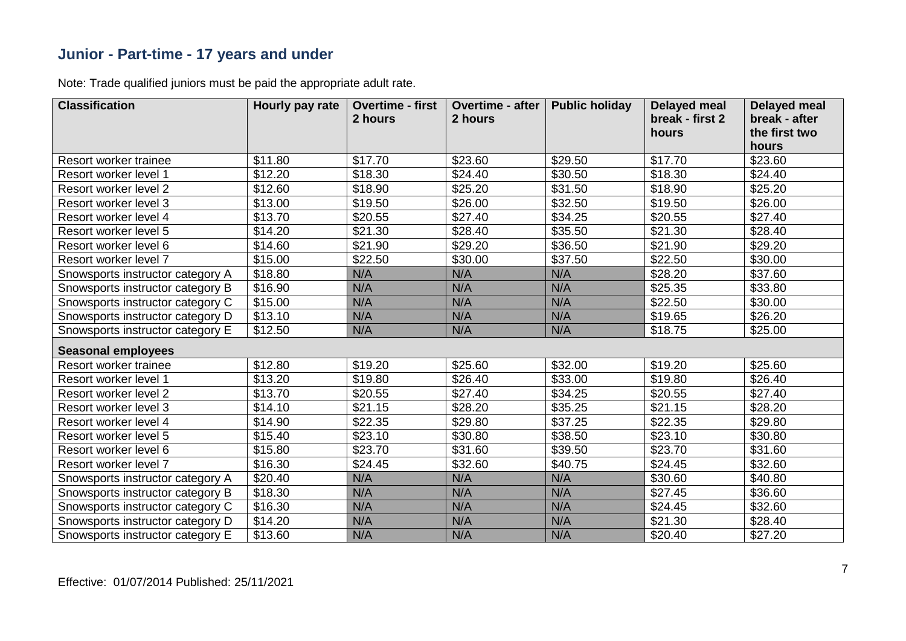#### **Junior - Part-time - 17 years and under**

| <b>Classification</b>            | Hourly pay rate | <b>Overtime - first</b><br>2 hours | <b>Overtime - after</b><br>2 hours | <b>Public holiday</b> | <b>Delayed meal</b><br>break - first 2<br>hours | <b>Delayed meal</b><br>break - after<br>the first two<br>hours |
|----------------------------------|-----------------|------------------------------------|------------------------------------|-----------------------|-------------------------------------------------|----------------------------------------------------------------|
| Resort worker trainee            | \$11.80         | \$17.70                            | \$23.60                            | \$29.50               | \$17.70                                         | \$23.60                                                        |
| Resort worker level 1            | \$12.20         | \$18.30                            | \$24.40                            | \$30.50               | \$18.30                                         | \$24.40                                                        |
| Resort worker level 2            | \$12.60         | \$18.90                            | \$25.20                            | \$31.50               | \$18.90                                         | \$25.20                                                        |
| Resort worker level 3            | \$13.00         | \$19.50                            | \$26.00                            | \$32.50               | \$19.50                                         | \$26.00                                                        |
| Resort worker level 4            | \$13.70         | \$20.55                            | \$27.40                            | \$34.25               | \$20.55                                         | \$27.40                                                        |
| Resort worker level 5            | \$14.20         | \$21.30                            | \$28.40                            | \$35.50               | \$21.30                                         | \$28.40                                                        |
| Resort worker level 6            | \$14.60         | \$21.90                            | \$29.20                            | \$36.50               | \$21.90                                         | \$29.20                                                        |
| Resort worker level 7            | \$15.00         | \$22.50                            | \$30.00                            | \$37.50               | \$22.50                                         | \$30.00                                                        |
| Snowsports instructor category A | \$18.80         | N/A                                | N/A                                | N/A                   | \$28.20                                         | \$37.60                                                        |
| Snowsports instructor category B | \$16.90         | N/A                                | N/A                                | N/A                   | \$25.35                                         | \$33.80                                                        |
| Snowsports instructor category C | \$15.00         | N/A                                | N/A                                | N/A                   | \$22.50                                         | \$30.00                                                        |
| Snowsports instructor category D | \$13.10         | N/A                                | N/A                                | N/A                   | \$19.65                                         | \$26.20                                                        |
| Snowsports instructor category E | \$12.50         | N/A                                | N/A                                | N/A                   | \$18.75                                         | \$25.00                                                        |
| <b>Seasonal employees</b>        |                 |                                    |                                    |                       |                                                 |                                                                |
| Resort worker trainee            | \$12.80         | \$19.20                            | \$25.60                            | \$32.00               | \$19.20                                         | \$25.60                                                        |
| Resort worker level 1            | \$13.20         | \$19.80                            | \$26.40                            | \$33.00               | \$19.80                                         | \$26.40                                                        |
| Resort worker level 2            | \$13.70         | \$20.55                            | \$27.40                            | \$34.25               | \$20.55                                         | \$27.40                                                        |
| Resort worker level 3            | \$14.10         | \$21.15                            | \$28.20                            | \$35.25               | \$21.15                                         | \$28.20                                                        |
| Resort worker level 4            | \$14.90         | \$22.35                            | \$29.80                            | \$37.25               | \$22.35                                         | \$29.80                                                        |
| Resort worker level 5            | \$15.40         | \$23.10                            | \$30.80                            | \$38.50               | \$23.10                                         | \$30.80                                                        |
| Resort worker level 6            | \$15.80         | \$23.70                            | \$31.60                            | \$39.50               | \$23.70                                         | \$31.60                                                        |
| Resort worker level 7            | \$16.30         | \$24.45                            | \$32.60                            | \$40.75               | \$24.45                                         | \$32.60                                                        |
| Snowsports instructor category A | \$20.40         | N/A                                | N/A                                | N/A                   | \$30.60                                         | \$40.80                                                        |
| Snowsports instructor category B | \$18.30         | N/A                                | N/A                                | N/A                   | \$27.45                                         | \$36.60                                                        |
| Snowsports instructor category C | \$16.30         | N/A                                | N/A                                | N/A                   | \$24.45                                         | \$32.60                                                        |
| Snowsports instructor category D | \$14.20         | N/A                                | N/A                                | N/A                   | \$21.30                                         | \$28.40                                                        |
| Snowsports instructor category E | \$13.60         | N/A                                | N/A                                | N/A                   | \$20.40                                         | \$27.20                                                        |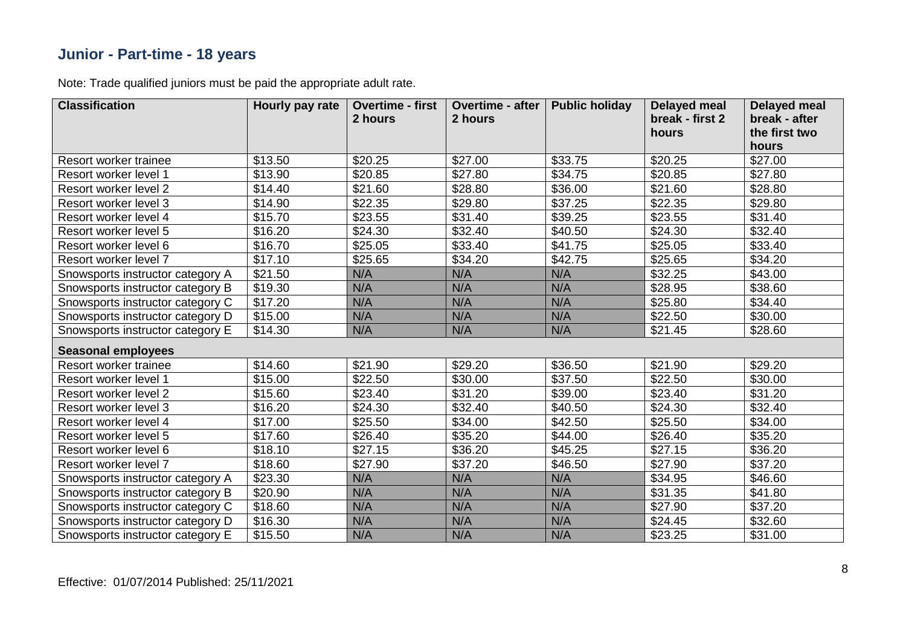#### **Junior - Part-time - 18 years**

| <b>Classification</b>            | Hourly pay rate | <b>Overtime - first</b><br>2 hours | <b>Overtime - after</b><br>2 hours | <b>Public holiday</b> | <b>Delayed meal</b><br>break - first 2<br>hours | <b>Delayed meal</b><br>break - after<br>the first two<br>hours |
|----------------------------------|-----------------|------------------------------------|------------------------------------|-----------------------|-------------------------------------------------|----------------------------------------------------------------|
| Resort worker trainee            | \$13.50         | \$20.25                            | \$27.00                            | \$33.75               | \$20.25                                         | \$27.00                                                        |
| Resort worker level 1            | \$13.90         | \$20.85                            | \$27.80                            | \$34.75               | \$20.85                                         | \$27.80                                                        |
| Resort worker level 2            | \$14.40         | \$21.60                            | \$28.80                            | \$36.00               | \$21.60                                         | \$28.80                                                        |
| Resort worker level 3            | \$14.90         | \$22.35                            | \$29.80                            | \$37.25               | \$22.35                                         | \$29.80                                                        |
| Resort worker level 4            | \$15.70         | \$23.55                            | \$31.40                            | \$39.25               | \$23.55                                         | \$31.40                                                        |
| Resort worker level 5            | \$16.20         | \$24.30                            | \$32.40                            | \$40.50               | \$24.30                                         | \$32.40                                                        |
| Resort worker level 6            | \$16.70         | \$25.05                            | \$33.40                            | \$41.75               | \$25.05                                         | \$33.40                                                        |
| Resort worker level 7            | \$17.10         | \$25.65                            | \$34.20                            | \$42.75               | \$25.65                                         | \$34.20                                                        |
| Snowsports instructor category A | \$21.50         | N/A                                | N/A                                | N/A                   | \$32.25                                         | \$43.00                                                        |
| Snowsports instructor category B | \$19.30         | N/A                                | N/A                                | N/A                   | \$28.95                                         | \$38.60                                                        |
| Snowsports instructor category C | \$17.20         | N/A                                | N/A                                | N/A                   | \$25.80                                         | \$34.40                                                        |
| Snowsports instructor category D | \$15.00         | N/A                                | N/A                                | N/A                   | \$22.50                                         | \$30.00                                                        |
| Snowsports instructor category E | \$14.30         | N/A                                | N/A                                | N/A                   | \$21.45                                         | \$28.60                                                        |
| <b>Seasonal employees</b>        |                 |                                    |                                    |                       |                                                 |                                                                |
| Resort worker trainee            | \$14.60         | \$21.90                            | \$29.20                            | \$36.50               | \$21.90                                         | \$29.20                                                        |
| Resort worker level 1            | \$15.00         | \$22.50                            | \$30.00                            | \$37.50               | \$22.50                                         | \$30.00                                                        |
| Resort worker level 2            | \$15.60         | \$23.40                            | \$31.20                            | \$39.00               | \$23.40                                         | \$31.20                                                        |
| Resort worker level 3            | \$16.20         | \$24.30                            | \$32.40                            | \$40.50               | \$24.30                                         | \$32.40                                                        |
| Resort worker level 4            | \$17.00         | \$25.50                            | \$34.00                            | \$42.50               | \$25.50                                         | \$34.00                                                        |
| Resort worker level 5            | \$17.60         | \$26.40                            | \$35.20                            | \$44.00               | \$26.40                                         | \$35.20                                                        |
| Resort worker level 6            | \$18.10         | \$27.15                            | \$36.20                            | \$45.25               | \$27.15                                         | \$36.20                                                        |
| Resort worker level 7            | \$18.60         | \$27.90                            | \$37.20                            | \$46.50               | \$27.90                                         | \$37.20                                                        |
| Snowsports instructor category A | \$23.30         | N/A                                | N/A                                | N/A                   | \$34.95                                         | \$46.60                                                        |
| Snowsports instructor category B | \$20.90         | N/A                                | N/A                                | N/A                   | \$31.35                                         | \$41.80                                                        |
| Snowsports instructor category C | \$18.60         | N/A                                | N/A                                | N/A                   | \$27.90                                         | \$37.20                                                        |
| Snowsports instructor category D | \$16.30         | N/A                                | N/A                                | N/A                   | \$24.45                                         | \$32.60                                                        |
| Snowsports instructor category E | \$15.50         | N/A                                | N/A                                | N/A                   | \$23.25                                         | \$31.00                                                        |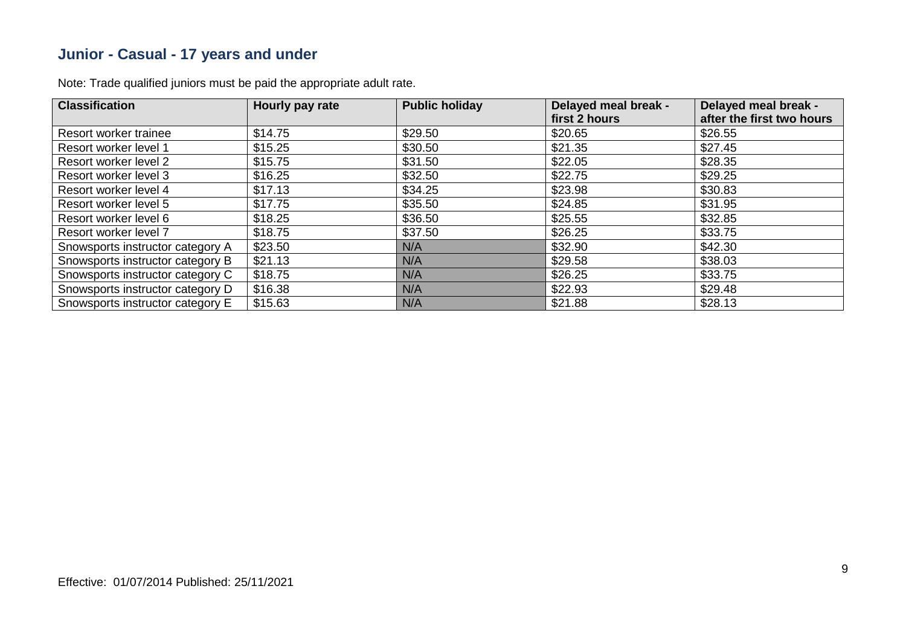#### **Junior - Casual - 17 years and under**

| <b>Classification</b>            | Hourly pay rate | <b>Public holiday</b> | Delayed meal break - | Delayed meal break -      |
|----------------------------------|-----------------|-----------------------|----------------------|---------------------------|
|                                  |                 |                       | first 2 hours        | after the first two hours |
| Resort worker trainee            | \$14.75         | \$29.50               | \$20.65              | \$26.55                   |
| Resort worker level 1            | \$15.25         | \$30.50               | \$21.35              | \$27.45                   |
| Resort worker level 2            | \$15.75         | \$31.50               | \$22.05              | \$28.35                   |
| Resort worker level 3            | \$16.25         | \$32.50               | \$22.75              | \$29.25                   |
| Resort worker level 4            | \$17.13         | \$34.25               | \$23.98              | \$30.83                   |
| Resort worker level 5            | \$17.75         | \$35.50               | \$24.85              | \$31.95                   |
| Resort worker level 6            | \$18.25         | \$36.50               | \$25.55              | \$32.85                   |
| Resort worker level 7            | \$18.75         | \$37.50               | \$26.25              | \$33.75                   |
| Snowsports instructor category A | \$23.50         | N/A                   | \$32.90              | \$42.30                   |
| Snowsports instructor category B | \$21.13         | N/A                   | \$29.58              | \$38.03                   |
| Snowsports instructor category C | \$18.75         | N/A                   | \$26.25              | \$33.75                   |
| Snowsports instructor category D | \$16.38         | N/A                   | \$22.93              | \$29.48                   |
| Snowsports instructor category E | \$15.63         | N/A                   | \$21.88              | \$28.13                   |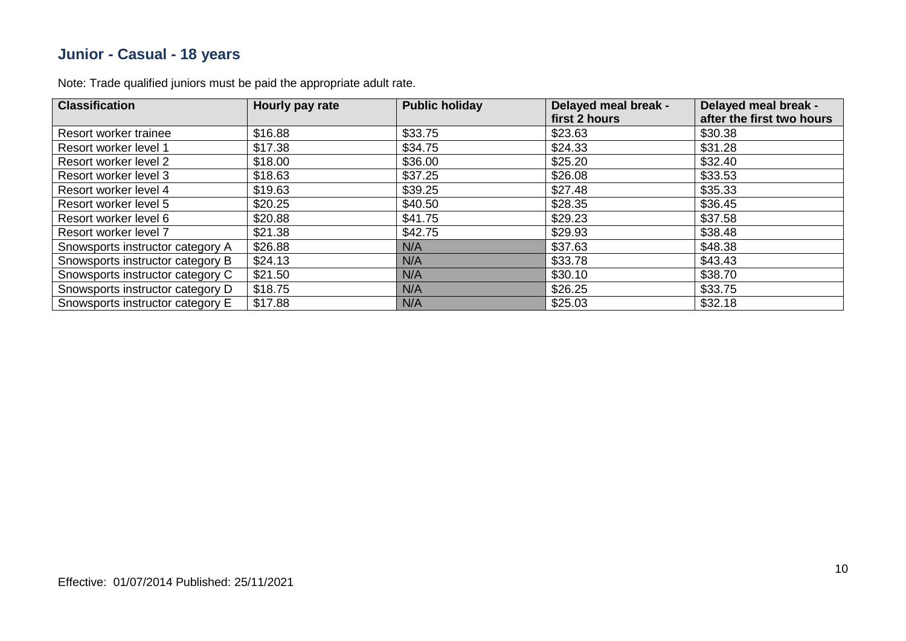#### **Junior - Casual - 18 years**

| <b>Classification</b>            | Hourly pay rate | <b>Public holiday</b> | Delayed meal break - | Delayed meal break -      |
|----------------------------------|-----------------|-----------------------|----------------------|---------------------------|
|                                  |                 |                       | first 2 hours        | after the first two hours |
| Resort worker trainee            | \$16.88         | \$33.75               | \$23.63              | \$30.38                   |
| Resort worker level 1            | \$17.38         | \$34.75               | \$24.33              | \$31.28                   |
| Resort worker level 2            | \$18.00         | \$36.00               | \$25.20              | \$32.40                   |
| Resort worker level 3            | \$18.63         | \$37.25               | \$26.08              | \$33.53                   |
| Resort worker level 4            | \$19.63         | \$39.25               | \$27.48              | \$35.33                   |
| Resort worker level 5            | \$20.25         | \$40.50               | \$28.35              | \$36.45                   |
| Resort worker level 6            | \$20.88         | \$41.75               | \$29.23              | \$37.58                   |
| Resort worker level 7            | \$21.38         | \$42.75               | \$29.93              | \$38.48                   |
| Snowsports instructor category A | \$26.88         | N/A                   | \$37.63              | \$48.38                   |
| Snowsports instructor category B | \$24.13         | N/A                   | \$33.78              | \$43.43                   |
| Snowsports instructor category C | \$21.50         | N/A                   | \$30.10              | \$38.70                   |
| Snowsports instructor category D | \$18.75         | N/A                   | \$26.25              | \$33.75                   |
| Snowsports instructor category E | \$17.88         | N/A                   | \$25.03              | \$32.18                   |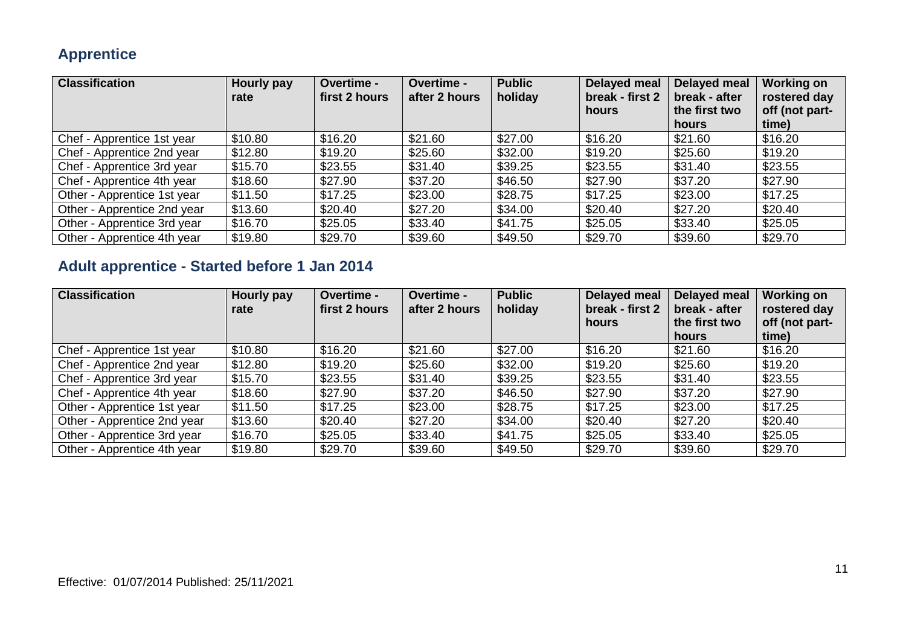#### **Apprentice**

| <b>Classification</b>       | Hourly pay<br>rate | <b>Overtime -</b><br>first 2 hours | <b>Overtime -</b><br>after 2 hours | <b>Public</b><br>holiday | Delayed meal<br>break - first 2<br>hours | <b>Delayed meal</b><br>break - after<br>the first two | <b>Working on</b><br>rostered day<br>off (not part- |
|-----------------------------|--------------------|------------------------------------|------------------------------------|--------------------------|------------------------------------------|-------------------------------------------------------|-----------------------------------------------------|
|                             |                    |                                    |                                    |                          |                                          | hours                                                 | time)                                               |
| Chef - Apprentice 1st year  | \$10.80            | \$16.20                            | \$21.60                            | \$27.00                  | \$16.20                                  | \$21.60                                               | \$16.20                                             |
| Chef - Apprentice 2nd year  | \$12.80            | \$19.20                            | \$25.60                            | \$32.00                  | \$19.20                                  | \$25.60                                               | \$19.20                                             |
| Chef - Apprentice 3rd year  | \$15.70            | \$23.55                            | \$31.40                            | \$39.25                  | \$23.55                                  | \$31.40                                               | \$23.55                                             |
| Chef - Apprentice 4th year  | \$18.60            | \$27.90                            | \$37.20                            | \$46.50                  | \$27.90                                  | \$37.20                                               | \$27.90                                             |
| Other - Apprentice 1st year | \$11.50            | \$17.25                            | \$23.00                            | \$28.75                  | \$17.25                                  | \$23.00                                               | \$17.25                                             |
| Other - Apprentice 2nd year | \$13.60            | \$20.40                            | \$27.20                            | \$34.00                  | \$20.40                                  | \$27.20                                               | \$20.40                                             |
| Other - Apprentice 3rd year | \$16.70            | \$25.05                            | \$33.40                            | \$41.75                  | \$25.05                                  | \$33.40                                               | \$25.05                                             |
| Other - Apprentice 4th year | \$19.80            | \$29.70                            | \$39.60                            | \$49.50                  | \$29.70                                  | \$39.60                                               | \$29.70                                             |

### **Adult apprentice - Started before 1 Jan 2014**

| <b>Classification</b>       | Hourly pay<br>rate | Overtime -<br>first 2 hours | Overtime -<br>after 2 hours | <b>Public</b><br>holiday | Delayed meal<br>break - first 2<br><b>hours</b> | <b>Delayed meal</b><br>break - after<br>the first two<br>hours | <b>Working on</b><br>rostered day<br>off (not part-<br>time) |
|-----------------------------|--------------------|-----------------------------|-----------------------------|--------------------------|-------------------------------------------------|----------------------------------------------------------------|--------------------------------------------------------------|
| Chef - Apprentice 1st year  | \$10.80            | \$16.20                     | \$21.60                     | \$27.00                  | \$16.20                                         | \$21.60                                                        | \$16.20                                                      |
| Chef - Apprentice 2nd year  | \$12.80            | \$19.20                     | \$25.60                     | \$32.00                  | \$19.20                                         | \$25.60                                                        | \$19.20                                                      |
| Chef - Apprentice 3rd year  | \$15.70            | \$23.55                     | \$31.40                     | \$39.25                  | \$23.55                                         | \$31.40                                                        | \$23.55                                                      |
| Chef - Apprentice 4th year  | \$18.60            | \$27.90                     | \$37.20                     | \$46.50                  | \$27.90                                         | \$37.20                                                        | \$27.90                                                      |
| Other - Apprentice 1st year | \$11.50            | \$17.25                     | \$23.00                     | \$28.75                  | \$17.25                                         | \$23.00                                                        | \$17.25                                                      |
| Other - Apprentice 2nd year | \$13.60            | \$20.40                     | \$27.20                     | \$34.00                  | \$20.40                                         | \$27.20                                                        | \$20.40                                                      |
| Other - Apprentice 3rd year | \$16.70            | \$25.05                     | \$33.40                     | \$41.75                  | \$25.05                                         | \$33.40                                                        | \$25.05                                                      |
| Other - Apprentice 4th year | \$19.80            | \$29.70                     | \$39.60                     | \$49.50                  | \$29.70                                         | \$39.60                                                        | \$29.70                                                      |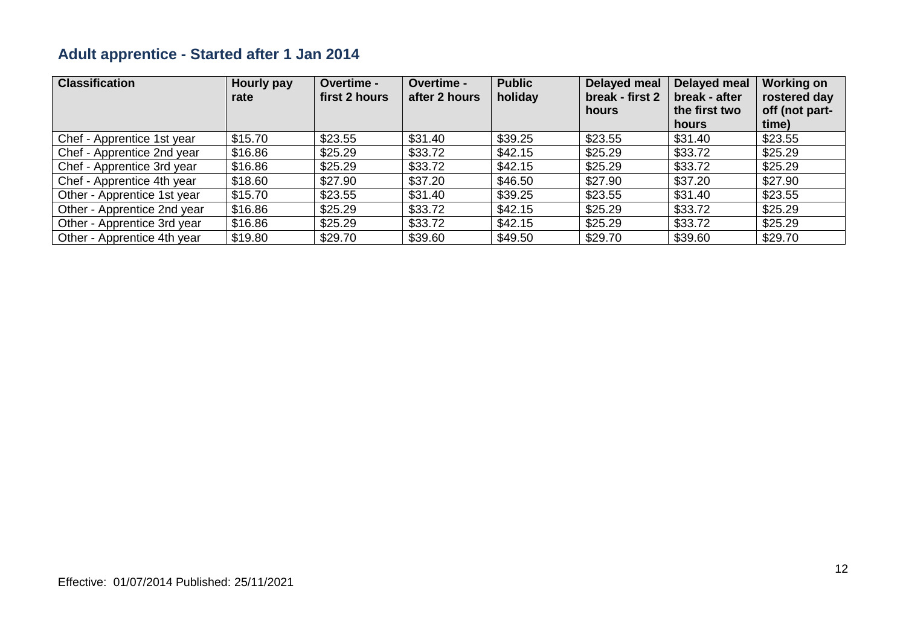### **Adult apprentice - Started after 1 Jan 2014**

| <b>Classification</b>       | Hourly pay<br>rate | <b>Overtime -</b><br>first 2 hours | Overtime -<br>after 2 hours | <b>Public</b><br>holiday | Delayed meal<br>break - first 2<br>hours | Delayed meal<br>break - after<br>the first two | <b>Working on</b><br>rostered day<br>off (not part-<br>time) |
|-----------------------------|--------------------|------------------------------------|-----------------------------|--------------------------|------------------------------------------|------------------------------------------------|--------------------------------------------------------------|
| Chef - Apprentice 1st year  | \$15.70            | \$23.55                            | \$31.40                     | \$39.25                  | \$23.55                                  | hours<br>\$31.40                               | \$23.55                                                      |
|                             |                    |                                    |                             |                          |                                          |                                                |                                                              |
| Chef - Apprentice 2nd year  | \$16.86            | \$25.29                            | \$33.72                     | \$42.15                  | \$25.29                                  | \$33.72                                        | \$25.29                                                      |
| Chef - Apprentice 3rd year  | \$16.86            | \$25.29                            | \$33.72                     | \$42.15                  | \$25.29                                  | \$33.72                                        | \$25.29                                                      |
| Chef - Apprentice 4th year  | \$18.60            | \$27.90                            | \$37.20                     | \$46.50                  | \$27.90                                  | \$37.20                                        | \$27.90                                                      |
| Other - Apprentice 1st year | \$15.70            | \$23.55                            | \$31.40                     | \$39.25                  | \$23.55                                  | \$31.40                                        | \$23.55                                                      |
| Other - Apprentice 2nd year | \$16.86            | \$25.29                            | \$33.72                     | \$42.15                  | \$25.29                                  | \$33.72                                        | \$25.29                                                      |
| Other - Apprentice 3rd year | \$16.86            | \$25.29                            | \$33.72                     | \$42.15                  | \$25.29                                  | \$33.72                                        | \$25.29                                                      |
| Other - Apprentice 4th year | \$19.80            | \$29.70                            | \$39.60                     | \$49.50                  | \$29.70                                  | \$39.60                                        | \$29.70                                                      |